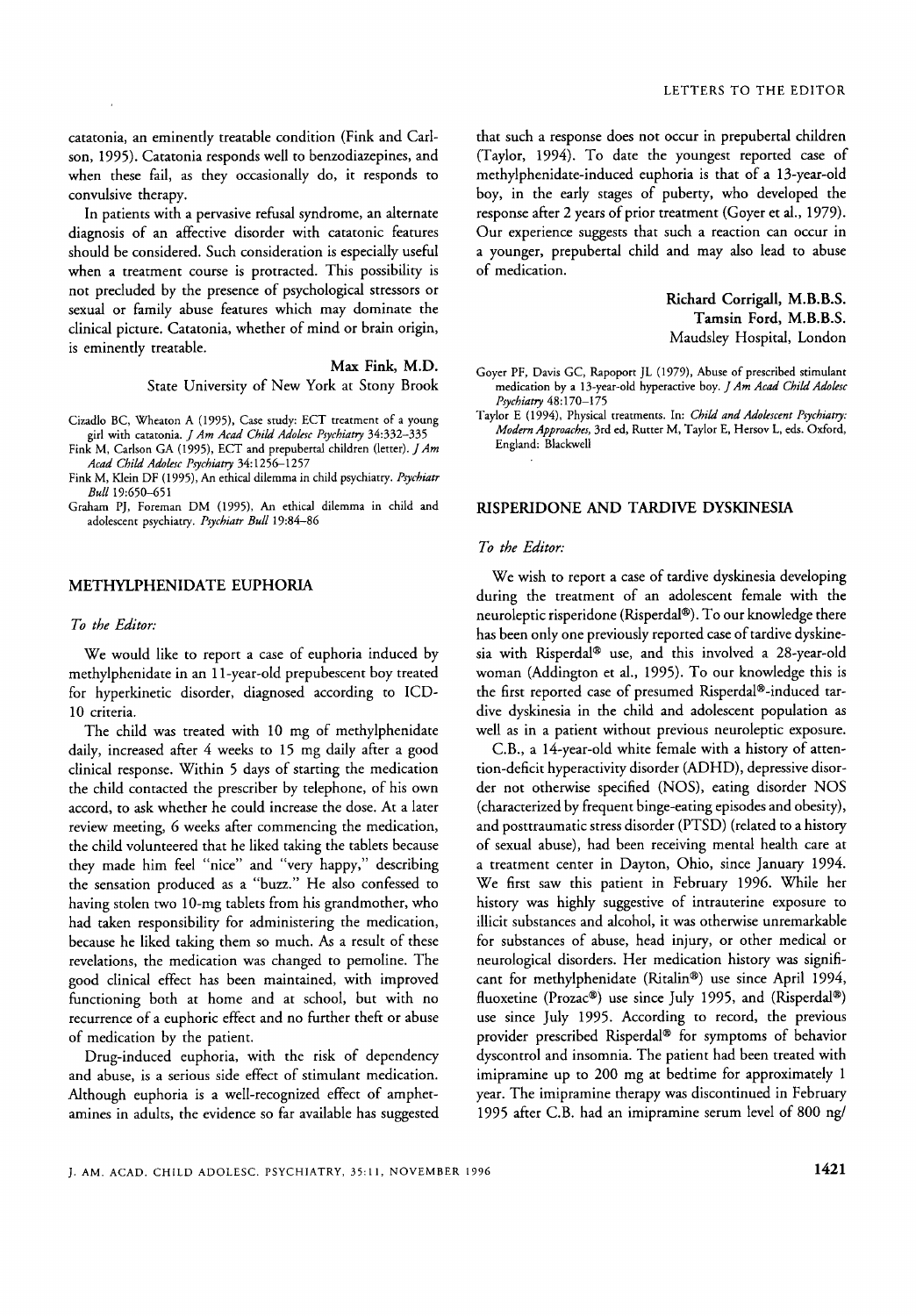catatonia, an eminently treatable condition (Fink and Carlson, 1995). Catatonia responds well to benzodiazepines, and when these fail, as they occasionally do, it responds to convulsive therapy.

In patients with a pervasive refusal syndrome, an alternate diagnosis of an affective disorder with catatonic features should be considered. Such consideration is especially useful when a treatment course is protracted. This possibility is not precluded by the presence of psychological stressors or sexual or family abuse features which may dominate the clinical picture. Catatonia, whether of mind or brain origin, is eminently treatable.

> Max Fink, M.D. State University of New York at Stony Brook

Cizadlo BC, Wheaton A (1995), Case study: ECT treatment of a young girl with catatonia. *J Am Acad Child Adolesc Psychiatry* 34:332-335

Fink M, Carlson GA (1995), ECT and prepubertal children (letter). *JAm Acad Child Adolesr Psychiatry* 34:12561257

Fink M, Klein DF (1995), *An* ethical dilemma in child psychiatry. *Prychian Bull* 19:650-65 1

Graham PJ, Foreman DM (1995), **An** ethical dilemma in child and adolescent psychiatry. *Pychian Bull* 19:84-86

# METHYLPHENIDATE EUPHORIA

#### *To the Editor:*

We would like to report a case of euphoria induced by methylphenidate in an 1 1-year-old prepubescent boy treated for hyperkinetic disorder, diagnosed according to ICD-10 criteria.

The child was treated with 10 mg of methylphenidate daily, increased after 4 weeks to 15 mg daily after a good clinical response. Within *5* days of starting the medication the child contacted the prescriber by telephone, of his own accord, to ask whether he could increase the dose. At a later review meeting, 6 weeks after commencing the medication, the child volunteered that he liked taking the tablets because they made him feel "nice" and "very happy," describing the sensation produced as a "buzz." He also confessed to having stolen two 10-mg tablets from his grandmother, who had taken responsibility for administering the medication, because he liked taking them so much. As a result of these revelations, the medication was changed to pemoline. The good clinical effect has been maintained, with improved functioning both at home and at school, but with no recurrence of a euphoric effect and no further theft or abuse of medication by the patient.

Drug-induced euphoria, with the risk of dependency and abuse, is a serious side effect of stimulant medication. Although euphoria is a well-recognized effect of amphetamines in adults, the evidence so far available has suggested that such a response does not occur in prepubertal children (Taylor, 1994). To date the youngest reported case of methylphenidate-induced euphoria is that of a 13-year-old boy, in the early stages of puberty, who developed the response after 2 years of prior treatment (Goyer et al., 1979). Our experience suggests that such a reaction can occur in a younger, prepubertal child and may also lead to abuse of medication.

> Richard **Corrigall,** M.B.B.S. **Tamsin** Ford, M.B.B.S. Maudsley Hospital, London

Goyer PF, Davis GC, Rapoport JL (1979), Abuse of prescribed stimulant medication by a 13-year-old hyperactive boy. *]Am Acad Child Adoksc Psychiatry* 48: 170-175

Taylor E (1994), Physical treatments. In: *Child and Adohscent Psyrhiany: Modern Approaches,* 3rd ed, Rutter M, Taylor E, **Hersov** L, eds. Oxford, England: Blackwell

### RISPERIDONE AND TARDIVE DYSKINESLA

#### *To the Editor:*

 $\overline{\phantom{a}}$ 

We wish to report a case of tardive dyskinesia developing during the treatment of an adolescent female with the neuroleptic risperidone (Risperdal®). To our knowledge there has been only one previously reported case of tardive dyskinesia with Risperdal® use, and this involved a 28-year-old woman (Addington et al., 1995). To our knowledge this is the first reported case of presumed Risperdal®-induced tardive dyskinesia in the child and adolescent population as well as in a patient without previous neuroleptic exposure.

C.B., a 14-year-old white female with a history of attention-deficit hyperactivity disorder (ADHD), depressive disorder not otherwise specified (NOS), eating disorder NOS (characterized by frequent binge-eating episodes and obesity), and posttraumatic stress disorder (PTSD) (related to a history of sexual abuse), had been receiving mental health care at a treatment center in Dayton, Ohio, since January 1994. We first saw this patient in February 1996. While her history was highly suggestive of intrauterine exposure to illicit substances and alcohol, it was otherwise unremarkable for substances of abuse, head injury, or other medical or neurological disorders. Her medication history was significant for methylphenidate (Ritalin@) use since April 1994, fluoxetine (Prozac®) use since July 1995, and (Risperdal®) use since July 1995. According to record, the previous provider prescribed Risperdal® for symptoms of behavior dyscontrol and insomnia. The patient had been treated with imipramine up to 200 mg at bedtime for approximately 1 year. The imipramine therapy was discontinued in February 1995 after C.B. had an imipramine serum level of 800 ng/